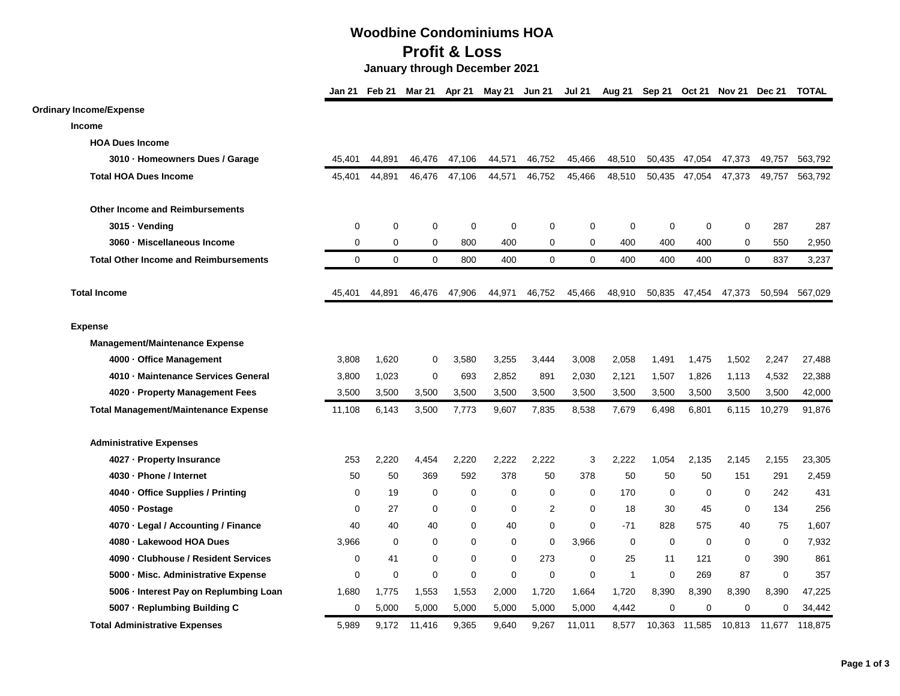## **Woodbine Condominiums HOA Profit & Loss**

 **January through December 2021**

|                                              |             | Jan 21 Feb 21 | Mar 21         | Apr 21      | May 21 Jun 21 |                | <b>Jul 21</b> |              | Aug 21 Sep 21 Oct 21 Nov 21 Dec 21 |             |             |             | <b>TOTAL</b> |
|----------------------------------------------|-------------|---------------|----------------|-------------|---------------|----------------|---------------|--------------|------------------------------------|-------------|-------------|-------------|--------------|
| <b>Ordinary Income/Expense</b>               |             |               |                |             |               |                |               |              |                                    |             |             |             |              |
| <b>Income</b>                                |             |               |                |             |               |                |               |              |                                    |             |             |             |              |
| <b>HOA Dues Income</b>                       |             |               |                |             |               |                |               |              |                                    |             |             |             |              |
| 3010 · Homeowners Dues / Garage              | 45,401      | 44,891        | 46,476         | 47,106      | 44,571        | 46,752         | 45,466        | 48,510       | 50,435                             | 47,054      | 47,373      | 49,757      | 563,792      |
| <b>Total HOA Dues Income</b>                 | 45,401      | 44,891        | 46,476         | 47,106      | 44,571        | 46,752         | 45,466        | 48,510       | 50,435                             | 47,054      | 47,373      | 49,757      | 563,792      |
| <b>Other Income and Reimbursements</b>       |             |               |                |             |               |                |               |              |                                    |             |             |             |              |
| 3015 · Vending                               | 0           | 0             | 0              | $\mathbf 0$ | 0             | $\mathbf 0$    | 0             | 0            | 0                                  | $\mathbf 0$ | 0           | 287         | 287          |
| 3060 - Miscellaneous Income                  | $\mathbf 0$ | 0             | 0              | 800         | 400           | $\mathbf 0$    | $\mathbf 0$   | 400          | 400                                | 400         | $\Omega$    | 550         | 2,950        |
| <b>Total Other Income and Reimbursements</b> | $\mathbf 0$ | 0             | $\mathbf 0$    | 800         | 400           | $\mathbf 0$    | $\mathbf 0$   | 400          | 400                                | 400         | $\mathbf 0$ | 837         | 3,237        |
| <b>Total Income</b>                          | 45,401      | 44,891        | 46,476         | 47,906      | 44,971        | 46,752         | 45,466        | 48,910       | 50,835                             | 47,454      | 47,373      | 50,594      | 567.029      |
| <b>Expense</b>                               |             |               |                |             |               |                |               |              |                                    |             |             |             |              |
| <b>Management/Maintenance Expense</b>        |             |               |                |             |               |                |               |              |                                    |             |             |             |              |
| 4000 · Office Management                     | 3,808       | 1.620         | $\mathbf 0$    | 3,580       | 3,255         | 3,444          | 3,008         | 2,058        | 1,491                              | 1,475       | 1,502       | 2,247       | 27,488       |
| 4010 - Maintenance Services General          | 3,800       | 1,023         | $\mathbf 0$    | 693         | 2,852         | 891            | 2,030         | 2,121        | 1,507                              | 1,826       | 1,113       | 4,532       | 22,388       |
| 4020 - Property Management Fees              | 3,500       | 3,500         | 3,500          | 3,500       | 3,500         | 3,500          | 3,500         | 3,500        | 3,500                              | 3,500       | 3,500       | 3,500       | 42,000       |
| <b>Total Management/Maintenance Expense</b>  | 11,108      | 6,143         | 3,500          | 7,773       | 9,607         | 7,835          | 8,538         | 7,679        | 6,498                              | 6,801       | 6,115       | 10,279      | 91,876       |
| <b>Administrative Expenses</b>               |             |               |                |             |               |                |               |              |                                    |             |             |             |              |
| 4027 - Property Insurance                    | 253         | 2,220         | 4,454          | 2,220       | 2,222         | 2,222          | 3             | 2,222        | 1,054                              | 2,135       | 2,145       | 2,155       | 23,305       |
| 4030 · Phone / Internet                      | 50          | 50            | 369            | 592         | 378           | 50             | 378           | 50           | 50                                 | 50          | 151         | 291         | 2,459        |
| 4040 · Office Supplies / Printing            | 0           | 19            | 0              | 0           | 0             | 0              | 0             | 170          | 0                                  | 0           | 0           | 242         | 431          |
| 4050 · Postage                               | $\mathbf 0$ | 27            | $\mathbf 0$    | 0           | 0             | $\overline{2}$ | $\mathbf 0$   | 18           | 30                                 | 45          | $\mathbf 0$ | 134         | 256          |
| 4070 · Legal / Accounting / Finance          | 40          | 40            | 40             | $\Omega$    | 40            | $\mathbf 0$    | $\mathbf 0$   | $-71$        | 828                                | 575         | 40          | 75          | 1,607        |
| 4080 · Lakewood HOA Dues                     | 3,966       | $\mathbf 0$   | $\mathbf 0$    | $\Omega$    | 0             | $\mathbf 0$    | 3,966         | 0            | $\mathbf 0$                        | $\Omega$    | $\mathbf 0$ | $\mathbf 0$ | 7,932        |
| 4090 · Clubhouse / Resident Services         | 0           | 41            | $\mathbf 0$    | $\Omega$    | 0             | 273            | $\mathbf 0$   | 25           | 11                                 | 121         | $\mathbf 0$ | 390         | 861          |
| 5000 - Misc. Administrative Expense          | $\mathbf 0$ | 0             | $\overline{0}$ | $\Omega$    | 0             | $\mathbf 0$    | $\mathbf 0$   | $\mathbf{1}$ | $\Omega$                           | 269         | 87          | $\mathbf 0$ | 357          |
| 5006 · Interest Pay on Replumbing Loan       | 1,680       | 1,775         | 1,553          | 1,553       | 2,000         | 1,720          | 1,664         | 1,720        | 8,390                              | 8,390       | 8,390       | 8,390       | 47,225       |
| 5007 - Replumbing Building C                 | $\mathbf 0$ | 5,000         | 5,000          | 5,000       | 5,000         | 5,000          | 5,000         | 4,442        | $\mathbf 0$                        | $\mathbf 0$ | $\mathbf 0$ | 0           | 34,442       |
| <b>Total Administrative Expenses</b>         | 5.989       | 9.172         | 11,416         | 9,365       | 9.640         | 9,267          | 11.011        | 8,577        | 10.363                             | 11.585      | 10.813      | 11.677      | 118.875      |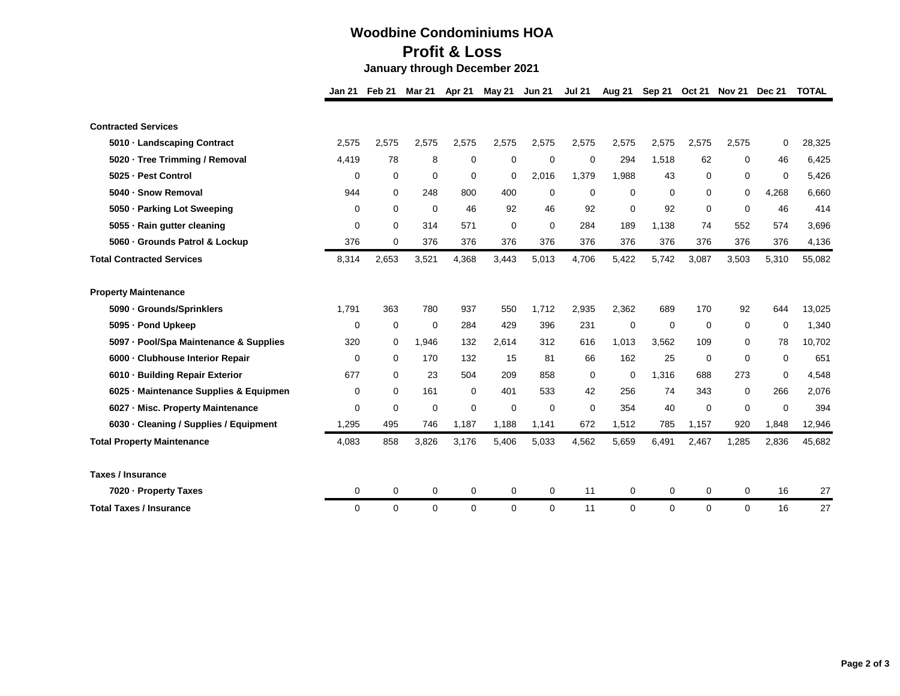## **Woodbine Condominiums HOA Profit & Loss**

 **January through December 2021**

|                                           | <b>Jan 21</b> | Feb 21      | Mar 21      | Apr 21      | May 21   | <b>Jun 21</b> | <b>Jul 21</b> | Aug 21      | Sep 21      | <b>Oct 21</b> |             | Nov 21 Dec 21 | <b>TOTAL</b> |
|-------------------------------------------|---------------|-------------|-------------|-------------|----------|---------------|---------------|-------------|-------------|---------------|-------------|---------------|--------------|
|                                           |               |             |             |             |          |               |               |             |             |               |             |               |              |
| <b>Contracted Services</b>                |               |             |             |             |          |               |               |             |             |               |             |               |              |
| 5010 - Landscaping Contract               | 2,575         | 2,575       | 2,575       | 2,575       | 2,575    | 2,575         | 2,575         | 2,575       | 2,575       | 2,575         | 2,575       | 0             | 28,325       |
| 5020 · Tree Trimming / Removal            | 4,419         | 78          | 8           | 0           | 0        | $\mathbf 0$   | 0             | 294         | 1.518       | 62            | 0           | 46            | 6,425        |
| - Pest Control<br>5025                    | 0             | 0           | 0           | $\mathbf 0$ | 0        | 2,016         | 1,379         | 1,988       | 43          | 0             | 0           | 0             | 5,426        |
| 5040 - Snow Removal                       | 944           | 0           | 248         | 800         | 400      | $\Omega$      | 0             | $\Omega$    | $\Omega$    | $\Omega$      | 0           | 4,268         | 6,660        |
| 5050 · Parking Lot Sweeping               | 0             | $\mathbf 0$ | $\mathbf 0$ | 46          | 92       | 46            | 92            | $\Omega$    | 92          | $\mathbf 0$   | $\Omega$    | 46            | 414          |
| 5055 - Rain gutter cleaning               | 0             | $\mathbf 0$ | 314         | 571         | 0        | 0             | 284           | 189         | 1,138       | 74            | 552         | 574           | 3,696        |
| 5060 - Grounds Patrol & Lockup            | 376           | 0           | 376         | 376         | 376      | 376           | 376           | 376         | 376         | 376           | 376         | 376           | 4,136        |
| <b>Total Contracted Services</b>          | 8,314         | 2,653       | 3,521       | 4,368       | 3,443    | 5,013         | 4,706         | 5,422       | 5,742       | 3,087         | 3,503       | 5,310         | 55,082       |
| <b>Property Maintenance</b>               |               |             |             |             |          |               |               |             |             |               |             |               |              |
| 5090 - Grounds/Sprinklers                 | 1,791         | 363         | 780         | 937         | 550      | 1,712         | 2,935         | 2,362       | 689         | 170           | 92          | 644           | 13,025       |
| - Pond Upkeep<br>5095                     | $\mathbf 0$   | 0           | $\mathbf 0$ | 284         | 429      | 396           | 231           | 0           | $\mathbf 0$ | $\mathbf 0$   | $\mathbf 0$ | 0             | 1,340        |
| 5097 - Pool/Spa Maintenance & Supplies    | 320           | 0           | 1,946       | 132         | 2,614    | 312           | 616           | 1,013       | 3,562       | 109           | $\Omega$    | 78            | 10,702       |
| - Clubhouse Interior Repair<br>6000       | 0             | 0           | 170         | 132         | 15       | 81            | 66            | 162         | 25          | 0             | 0           | 0             | 651          |
| - Building Repair Exterior<br>6010        | 677           | 0           | 23          | 504         | 209      | 858           | 0             | 0           | 1,316       | 688           | 273         | 0             | 4,548        |
| - Maintenance Supplies & Equipmen<br>6025 | 0             | 0           | 161         | 0           | 401      | 533           | 42            | 256         | 74          | 343           | $\Omega$    | 266           | 2,076        |
| 6027 - Misc. Property Maintenance         | $\mathbf 0$   | $\mathbf 0$ | $\mathbf 0$ | $\mathbf 0$ | 0        | $\mathbf 0$   | $\mathbf 0$   | 354         | 40          | $\Omega$      | $\Omega$    | $\Omega$      | 394          |
| 6030 - Cleaning / Supplies / Equipment    | 1,295         | 495         | 746         | 1,187       | 1,188    | 1,141         | 672           | 1,512       | 785         | 1,157         | 920         | 1,848         | 12,946       |
| <b>Total Property Maintenance</b>         | 4,083         | 858         | 3,826       | 3,176       | 5,406    | 5,033         | 4,562         | 5,659       | 6,491       | 2,467         | 1,285       | 2,836         | 45,682       |
| <b>Taxes / Insurance</b>                  |               |             |             |             |          |               |               |             |             |               |             |               |              |
| 7020 - Property Taxes                     | 0             | 0           | $\mathbf 0$ | $\mathbf 0$ | 0        | 0             | 11            | $\mathbf 0$ | 0           | 0             | 0           | 16            | 27           |
| <b>Total Taxes / Insurance</b>            | $\Omega$      | $\Omega$    | $\Omega$    | 0           | $\Omega$ | $\Omega$      | 11            | $\Omega$    | $\Omega$    | $\Omega$      | $\Omega$    | 16            | 27           |